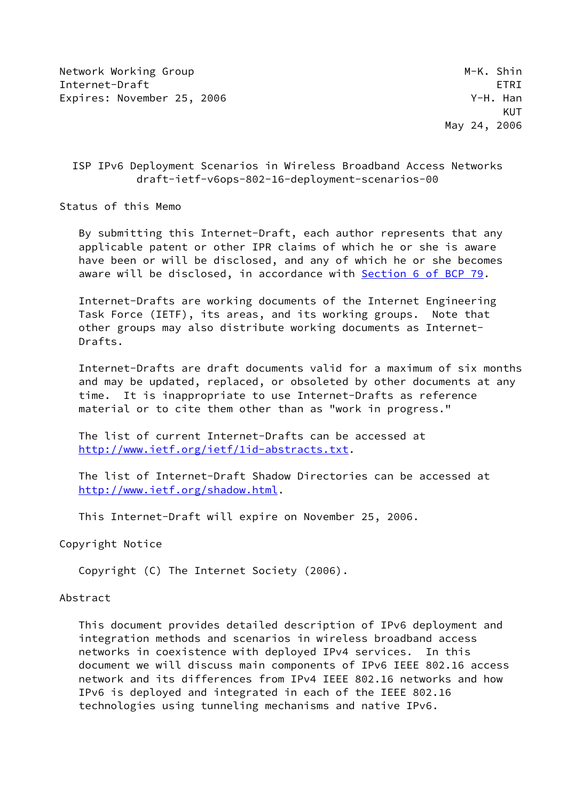Network Working Group M-K. Shin Internet-Draft ETRI Expires: November 25, 2006 Case Controller and Manual Media V-H. Han

## ISP IPv6 Deployment Scenarios in Wireless Broadband Access Networks draft-ietf-v6ops-802-16-deployment-scenarios-00

Status of this Memo

 By submitting this Internet-Draft, each author represents that any applicable patent or other IPR claims of which he or she is aware have been or will be disclosed, and any of which he or she becomes aware will be disclosed, in accordance with Section [6 of BCP 79.](https://datatracker.ietf.org/doc/pdf/bcp79#section-6)

 Internet-Drafts are working documents of the Internet Engineering Task Force (IETF), its areas, and its working groups. Note that other groups may also distribute working documents as Internet- Drafts.

 Internet-Drafts are draft documents valid for a maximum of six months and may be updated, replaced, or obsoleted by other documents at any time. It is inappropriate to use Internet-Drafts as reference material or to cite them other than as "work in progress."

 The list of current Internet-Drafts can be accessed at <http://www.ietf.org/ietf/1id-abstracts.txt>.

 The list of Internet-Draft Shadow Directories can be accessed at <http://www.ietf.org/shadow.html>.

This Internet-Draft will expire on November 25, 2006.

Copyright Notice

Copyright (C) The Internet Society (2006).

## Abstract

 This document provides detailed description of IPv6 deployment and integration methods and scenarios in wireless broadband access networks in coexistence with deployed IPv4 services. In this document we will discuss main components of IPv6 IEEE 802.16 access network and its differences from IPv4 IEEE 802.16 networks and how IPv6 is deployed and integrated in each of the IEEE 802.16 technologies using tunneling mechanisms and native IPv6.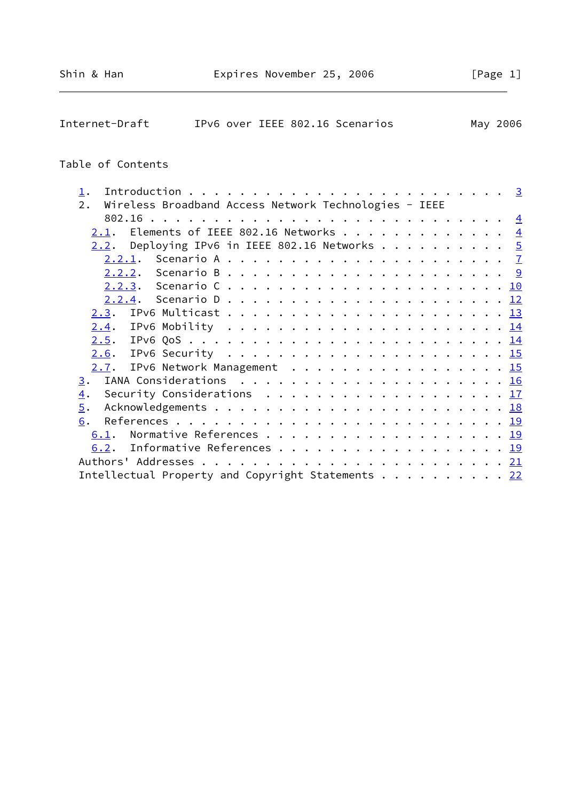| Internet-Draft |  | IPv6 over IEEE 802.16 Scenarios | May 2006 |
|----------------|--|---------------------------------|----------|
|                |  |                                 |          |

# Table of Contents

| $\mathbf 1$ . |                                                                                          |  |  |  |  |  |  |  |  |  |  |                |
|---------------|------------------------------------------------------------------------------------------|--|--|--|--|--|--|--|--|--|--|----------------|
| 2.            | Wireless Broadband Access Network Technologies - IEEE                                    |  |  |  |  |  |  |  |  |  |  |                |
|               |                                                                                          |  |  |  |  |  |  |  |  |  |  |                |
| 2.1.          | Elements of IEEE 802.16 Networks                                                         |  |  |  |  |  |  |  |  |  |  | $\overline{4}$ |
|               | 2.2. Deploying IPv6 in IEEE 802.16 Networks 5                                            |  |  |  |  |  |  |  |  |  |  |                |
|               |                                                                                          |  |  |  |  |  |  |  |  |  |  |                |
|               |                                                                                          |  |  |  |  |  |  |  |  |  |  |                |
|               |                                                                                          |  |  |  |  |  |  |  |  |  |  |                |
|               |                                                                                          |  |  |  |  |  |  |  |  |  |  |                |
| 2.3.          |                                                                                          |  |  |  |  |  |  |  |  |  |  |                |
|               |                                                                                          |  |  |  |  |  |  |  |  |  |  |                |
|               |                                                                                          |  |  |  |  |  |  |  |  |  |  |                |
|               | <u>2.6</u> . IPv6 Security <u>15</u>                                                     |  |  |  |  |  |  |  |  |  |  |                |
|               | 2.7. IPv6 Network Management 15                                                          |  |  |  |  |  |  |  |  |  |  |                |
| 3.            |                                                                                          |  |  |  |  |  |  |  |  |  |  |                |
| 4.            | Security Considerations $\ldots \ldots \ldots \ldots \ldots \ldots \ldots \frac{17}{11}$ |  |  |  |  |  |  |  |  |  |  |                |
| 5.            |                                                                                          |  |  |  |  |  |  |  |  |  |  |                |
| 6.            |                                                                                          |  |  |  |  |  |  |  |  |  |  |                |
| 6.1.          |                                                                                          |  |  |  |  |  |  |  |  |  |  |                |
| 6.2.          | Informative References 19                                                                |  |  |  |  |  |  |  |  |  |  |                |
|               |                                                                                          |  |  |  |  |  |  |  |  |  |  |                |
|               | Intellectual Property and Copyright Statements 22                                        |  |  |  |  |  |  |  |  |  |  |                |
|               |                                                                                          |  |  |  |  |  |  |  |  |  |  |                |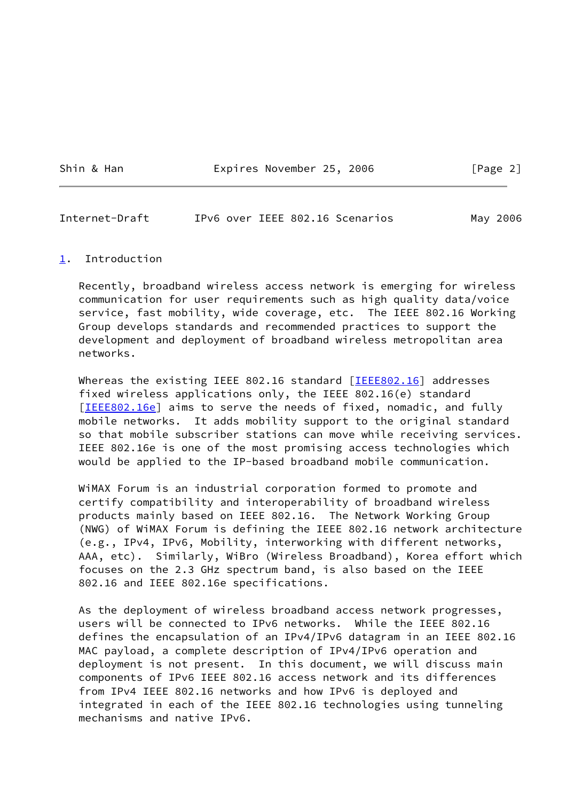Shin & Han **Expires November 25, 2006** [Page 2]

<span id="page-2-1"></span>Internet-Draft IPv6 over IEEE 802.16 Scenarios May 2006

#### <span id="page-2-0"></span>[1](#page-2-0). Introduction

 Recently, broadband wireless access network is emerging for wireless communication for user requirements such as high quality data/voice service, fast mobility, wide coverage, etc. The IEEE 802.16 Working Group develops standards and recommended practices to support the development and deployment of broadband wireless metropolitan area networks.

Whereas the existing IEEE 802.16 standard [[IEEE802.16\]](#page-21-0) addresses fixed wireless applications only, the IEEE 802.16(e) standard [\[IEEE802.16e](#page-22-1)] aims to serve the needs of fixed, nomadic, and fully mobile networks. It adds mobility support to the original standard so that mobile subscriber stations can move while receiving services. IEEE 802.16e is one of the most promising access technologies which would be applied to the IP-based broadband mobile communication.

 WiMAX Forum is an industrial corporation formed to promote and certify compatibility and interoperability of broadband wireless products mainly based on IEEE 802.16. The Network Working Group (NWG) of WiMAX Forum is defining the IEEE 802.16 network architecture (e.g., IPv4, IPv6, Mobility, interworking with different networks, AAA, etc). Similarly, WiBro (Wireless Broadband), Korea effort which focuses on the 2.3 GHz spectrum band, is also based on the IEEE 802.16 and IEEE 802.16e specifications.

 As the deployment of wireless broadband access network progresses, users will be connected to IPv6 networks. While the IEEE 802.16 defines the encapsulation of an IPv4/IPv6 datagram in an IEEE 802.16 MAC payload, a complete description of IPv4/IPv6 operation and deployment is not present. In this document, we will discuss main components of IPv6 IEEE 802.16 access network and its differences from IPv4 IEEE 802.16 networks and how IPv6 is deployed and integrated in each of the IEEE 802.16 technologies using tunneling mechanisms and native IPv6.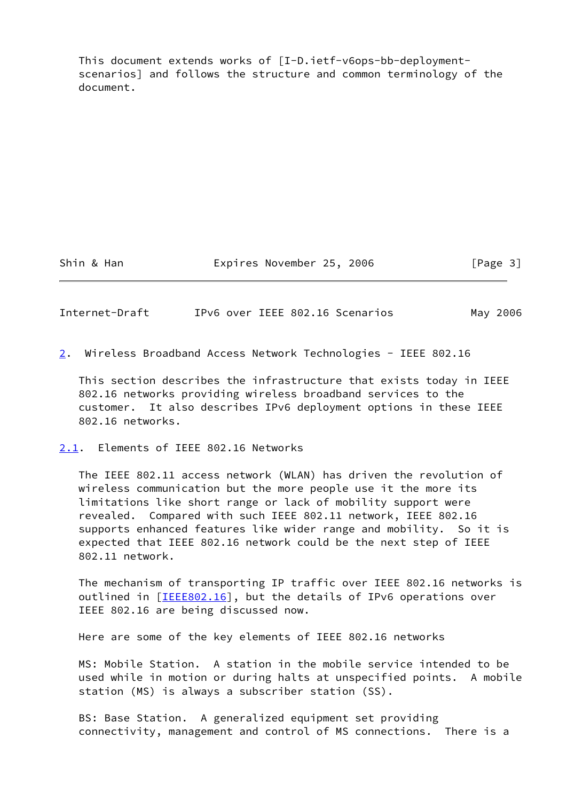This document extends works of [I-D.ietf-v6ops-bb-deployment scenarios] and follows the structure and common terminology of the document.

Shin & Han **Expires November 25, 2006** [Page 3]

<span id="page-3-0"></span>Internet-Draft IPv6 over IEEE 802.16 Scenarios May 2006

<span id="page-3-2"></span>[2](#page-3-2). Wireless Broadband Access Network Technologies - IEEE 802.16

 This section describes the infrastructure that exists today in IEEE 802.16 networks providing wireless broadband services to the customer. It also describes IPv6 deployment options in these IEEE 802.16 networks.

<span id="page-3-1"></span>[2.1](#page-3-1). Elements of IEEE 802.16 Networks

 The IEEE 802.11 access network (WLAN) has driven the revolution of wireless communication but the more people use it the more its limitations like short range or lack of mobility support were revealed. Compared with such IEEE 802.11 network, IEEE 802.16 supports enhanced features like wider range and mobility. So it is expected that IEEE 802.16 network could be the next step of IEEE 802.11 network.

 The mechanism of transporting IP traffic over IEEE 802.16 networks is outlined in [\[IEEE802.16\]](#page-21-0), but the details of IPv6 operations over IEEE 802.16 are being discussed now.

Here are some of the key elements of IEEE 802.16 networks

 MS: Mobile Station. A station in the mobile service intended to be used while in motion or during halts at unspecified points. A mobile station (MS) is always a subscriber station (SS).

 BS: Base Station. A generalized equipment set providing connectivity, management and control of MS connections. There is a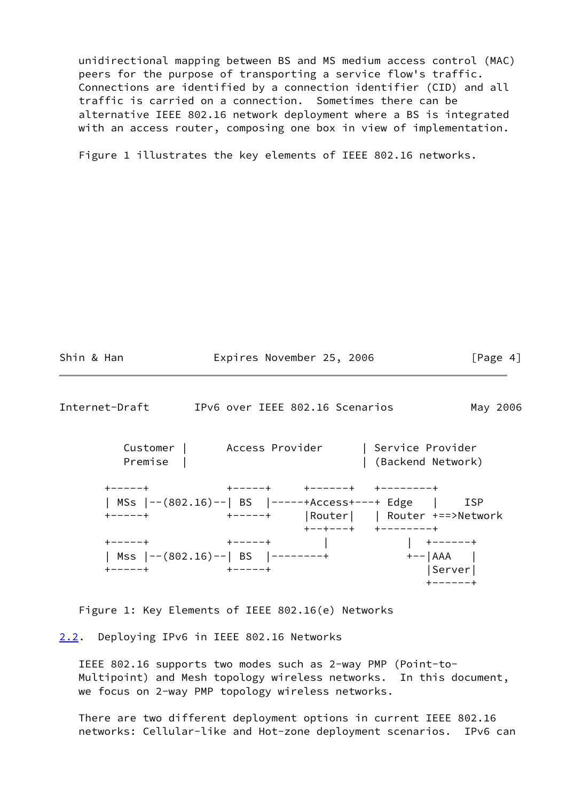unidirectional mapping between BS and MS medium access control (MAC) peers for the purpose of transporting a service flow's traffic. Connections are identified by a connection identifier (CID) and all traffic is carried on a connection. Sometimes there can be alternative IEEE 802.16 network deployment where a BS is integrated with an access router, composing one box in view of implementation.

Figure 1 illustrates the key elements of IEEE 802.16 networks.

<span id="page-4-1"></span>

| Shin & Han                     | Expires November 25, 2006                           | [Page 4]                              |
|--------------------------------|-----------------------------------------------------|---------------------------------------|
| Internet-Draft                 | IPv6 over IEEE 802.16 Scenarios                     | May 2006                              |
| Premise                        | Customer   Access Provider                          | Service Provider<br>(Backend Network) |
| $+ - - - - +$<br>$+ - - - - +$ | MSs  --(802.16)--  BS  -----+Access+---+ Edge   ISP | $+ - - + - - - +$ +--------+          |
| -----+        +-----+          | Mss  --(802.16)--  BS  --------+ +-- AAA            | Server                                |

Figure 1: Key Elements of IEEE 802.16(e) Networks

<span id="page-4-0"></span>[2.2](#page-4-0). Deploying IPv6 in IEEE 802.16 Networks

 IEEE 802.16 supports two modes such as 2-way PMP (Point-to- Multipoint) and Mesh topology wireless networks. In this document, we focus on 2-way PMP topology wireless networks.

 There are two different deployment options in current IEEE 802.16 networks: Cellular-like and Hot-zone deployment scenarios. IPv6 can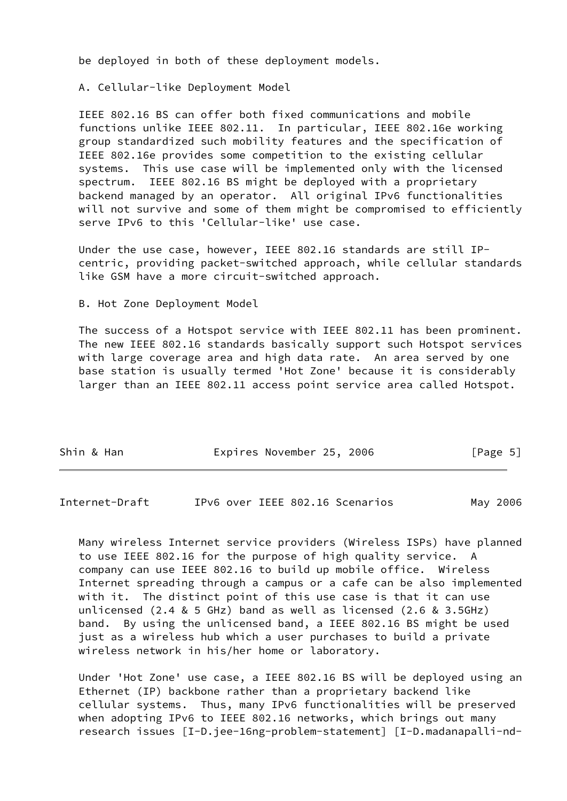be deployed in both of these deployment models.

A. Cellular-like Deployment Model

 IEEE 802.16 BS can offer both fixed communications and mobile functions unlike IEEE 802.11. In particular, IEEE 802.16e working group standardized such mobility features and the specification of IEEE 802.16e provides some competition to the existing cellular systems. This use case will be implemented only with the licensed spectrum. IEEE 802.16 BS might be deployed with a proprietary backend managed by an operator. All original IPv6 functionalities will not survive and some of them might be compromised to efficiently serve IPv6 to this 'Cellular-like' use case.

 Under the use case, however, IEEE 802.16 standards are still IP centric, providing packet-switched approach, while cellular standards like GSM have a more circuit-switched approach.

B. Hot Zone Deployment Model

 The success of a Hotspot service with IEEE 802.11 has been prominent. The new IEEE 802.16 standards basically support such Hotspot services with large coverage area and high data rate. An area served by one base station is usually termed 'Hot Zone' because it is considerably larger than an IEEE 802.11 access point service area called Hotspot.

| Shin & Han | Expires November 25, 2006 |  | [Page 5] |  |
|------------|---------------------------|--|----------|--|
|            |                           |  |          |  |

Internet-Draft IPv6 over IEEE 802.16 Scenarios May 2006

 Many wireless Internet service providers (Wireless ISPs) have planned to use IEEE 802.16 for the purpose of high quality service. A company can use IEEE 802.16 to build up mobile office. Wireless Internet spreading through a campus or a cafe can be also implemented with it. The distinct point of this use case is that it can use unlicensed (2.4 & 5 GHz) band as well as licensed (2.6 & 3.5GHz) band. By using the unlicensed band, a IEEE 802.16 BS might be used just as a wireless hub which a user purchases to build a private wireless network in his/her home or laboratory.

 Under 'Hot Zone' use case, a IEEE 802.16 BS will be deployed using an Ethernet (IP) backbone rather than a proprietary backend like cellular systems. Thus, many IPv6 functionalities will be preserved when adopting IPv6 to IEEE 802.16 networks, which brings out many research issues [I-D.jee-16ng-problem-statement] [I-D.madanapalli-nd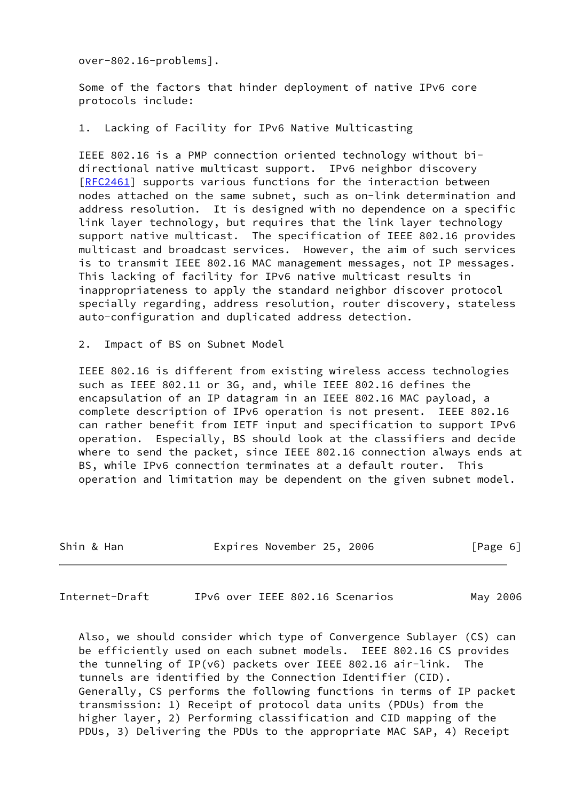over-802.16-problems].

 Some of the factors that hinder deployment of native IPv6 core protocols include:

#### 1. Lacking of Facility for IPv6 Native Multicasting

 IEEE 802.16 is a PMP connection oriented technology without bi directional native multicast support. IPv6 neighbor discovery [\[RFC2461](https://datatracker.ietf.org/doc/pdf/rfc2461)] supports various functions for the interaction between nodes attached on the same subnet, such as on-link determination and address resolution. It is designed with no dependence on a specific link layer technology, but requires that the link layer technology support native multicast. The specification of IEEE 802.16 provides multicast and broadcast services. However, the aim of such services is to transmit IEEE 802.16 MAC management messages, not IP messages. This lacking of facility for IPv6 native multicast results in inappropriateness to apply the standard neighbor discover protocol specially regarding, address resolution, router discovery, stateless auto-configuration and duplicated address detection.

2. Impact of BS on Subnet Model

 IEEE 802.16 is different from existing wireless access technologies such as IEEE 802.11 or 3G, and, while IEEE 802.16 defines the encapsulation of an IP datagram in an IEEE 802.16 MAC payload, a complete description of IPv6 operation is not present. IEEE 802.16 can rather benefit from IETF input and specification to support IPv6 operation. Especially, BS should look at the classifiers and decide where to send the packet, since IEEE 802.16 connection always ends at BS, while IPv6 connection terminates at a default router. This operation and limitation may be dependent on the given subnet model.

| Shin & Han<br>Expires November 25, 2006<br>[Page 6] |  |  |  |  |  |  |  |
|-----------------------------------------------------|--|--|--|--|--|--|--|
|-----------------------------------------------------|--|--|--|--|--|--|--|

<span id="page-6-0"></span>Internet-Draft IPv6 over IEEE 802.16 Scenarios May 2006

 Also, we should consider which type of Convergence Sublayer (CS) can be efficiently used on each subnet models. IEEE 802.16 CS provides the tunneling of IP(v6) packets over IEEE 802.16 air-link. The tunnels are identified by the Connection Identifier (CID). Generally, CS performs the following functions in terms of IP packet transmission: 1) Receipt of protocol data units (PDUs) from the higher layer, 2) Performing classification and CID mapping of the PDUs, 3) Delivering the PDUs to the appropriate MAC SAP, 4) Receipt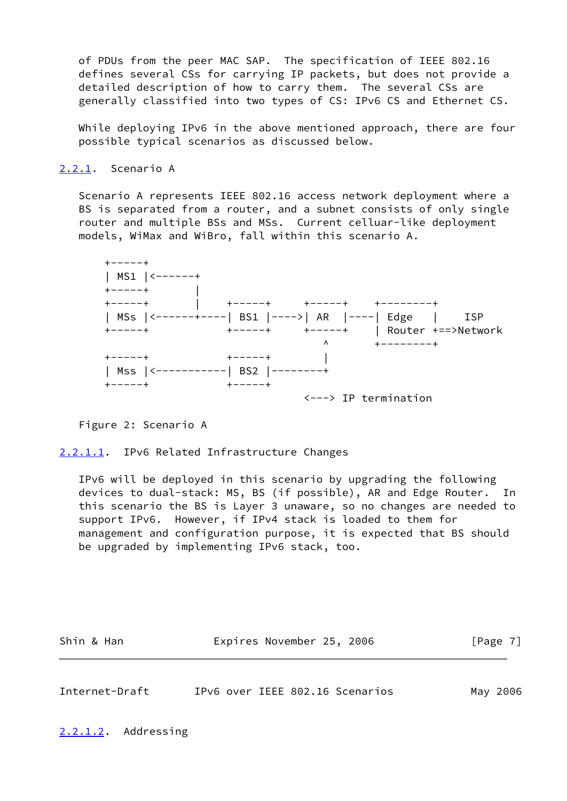of PDUs from the peer MAC SAP. The specification of IEEE 802.16 defines several CSs for carrying IP packets, but does not provide a detailed description of how to carry them. The several CSs are generally classified into two types of CS: IPv6 CS and Ethernet CS.

While deploying IPv6 in the above mentioned approach, there are four possible typical scenarios as discussed below.

<span id="page-7-0"></span>[2.2.1](#page-7-0). Scenario A

 Scenario A represents IEEE 802.16 access network deployment where a BS is separated from a router, and a subnet consists of only single router and multiple BSs and MSs. Current celluar-like deployment models, WiMax and WiBro, fall within this scenario A.



Figure 2: Scenario A

<span id="page-7-1"></span>[2.2.1.1](#page-7-1). IPv6 Related Infrastructure Changes

 IPv6 will be deployed in this scenario by upgrading the following devices to dual-stack: MS, BS (if possible), AR and Edge Router. In this scenario the BS is Layer 3 unaware, so no changes are needed to support IPv6. However, if IPv4 stack is loaded to them for management and configuration purpose, it is expected that BS should be upgraded by implementing IPv6 stack, too.

| Shin & Han | Expires November 25, 2006 | [Page 7] |
|------------|---------------------------|----------|
|            |                           |          |

<span id="page-7-2"></span>

| Internet-Draft |  |  | IPv6 over IEEE 802.16 Scenarios | May 2006 |
|----------------|--|--|---------------------------------|----------|
|                |  |  |                                 |          |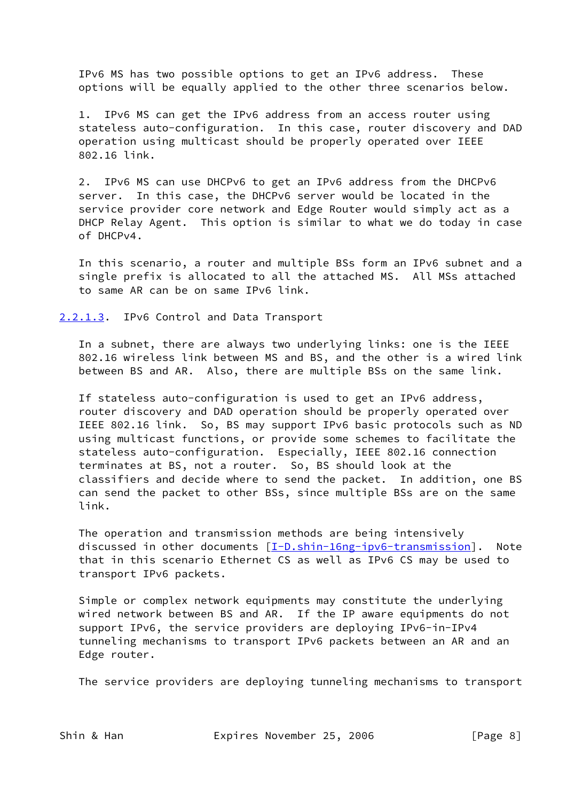IPv6 MS has two possible options to get an IPv6 address. These options will be equally applied to the other three scenarios below.

 1. IPv6 MS can get the IPv6 address from an access router using stateless auto-configuration. In this case, router discovery and DAD operation using multicast should be properly operated over IEEE 802.16 link.

 2. IPv6 MS can use DHCPv6 to get an IPv6 address from the DHCPv6 server. In this case, the DHCPv6 server would be located in the service provider core network and Edge Router would simply act as a DHCP Relay Agent. This option is similar to what we do today in case of DHCPv4.

 In this scenario, a router and multiple BSs form an IPv6 subnet and a single prefix is allocated to all the attached MS. All MSs attached to same AR can be on same IPv6 link.

<span id="page-8-0"></span>[2.2.1.3](#page-8-0). IPv6 Control and Data Transport

 In a subnet, there are always two underlying links: one is the IEEE 802.16 wireless link between MS and BS, and the other is a wired link between BS and AR. Also, there are multiple BSs on the same link.

 If stateless auto-configuration is used to get an IPv6 address, router discovery and DAD operation should be properly operated over IEEE 802.16 link. So, BS may support IPv6 basic protocols such as ND using multicast functions, or provide some schemes to facilitate the stateless auto-configuration. Especially, IEEE 802.16 connection terminates at BS, not a router. So, BS should look at the classifiers and decide where to send the packet. In addition, one BS can send the packet to other BSs, since multiple BSs are on the same link.

 The operation and transmission methods are being intensively discussed in other documents [\[I-D.shin-16ng-ipv6-transmission](#page-21-1)]. Note that in this scenario Ethernet CS as well as IPv6 CS may be used to transport IPv6 packets.

 Simple or complex network equipments may constitute the underlying wired network between BS and AR. If the IP aware equipments do not support IPv6, the service providers are deploying IPv6-in-IPv4 tunneling mechanisms to transport IPv6 packets between an AR and an Edge router.

The service providers are deploying tunneling mechanisms to transport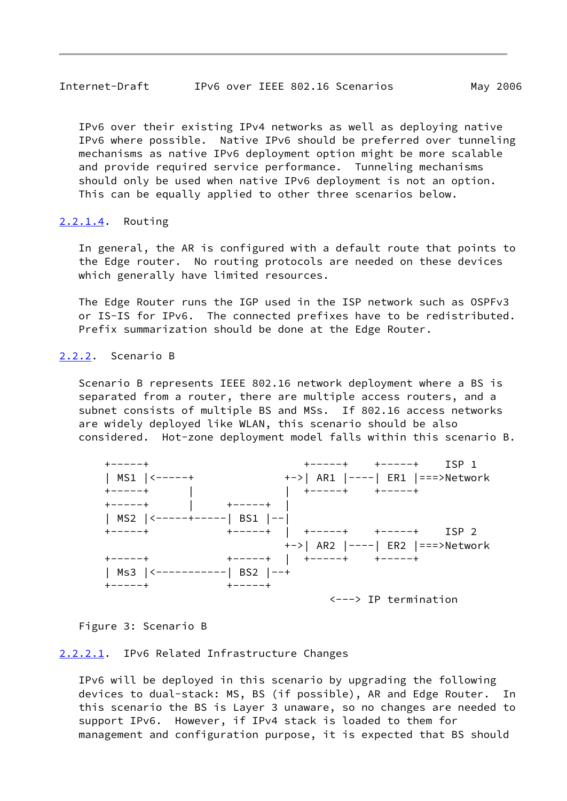<span id="page-9-1"></span> IPv6 over their existing IPv4 networks as well as deploying native IPv6 where possible. Native IPv6 should be preferred over tunneling mechanisms as native IPv6 deployment option might be more scalable and provide required service performance. Tunneling mechanisms should only be used when native IPv6 deployment is not an option. This can be equally applied to other three scenarios below.

#### <span id="page-9-2"></span>[2.2.1.4](#page-9-2). Routing

 In general, the AR is configured with a default route that points to the Edge router. No routing protocols are needed on these devices which generally have limited resources.

 The Edge Router runs the IGP used in the ISP network such as OSPFv3 or IS-IS for IPv6. The connected prefixes have to be redistributed. Prefix summarization should be done at the Edge Router.

## <span id="page-9-0"></span>[2.2.2](#page-9-0). Scenario B

 Scenario B represents IEEE 802.16 network deployment where a BS is separated from a router, there are multiple access routers, and a subnet consists of multiple BS and MSs. If 802.16 access networks are widely deployed like WLAN, this scenario should be also considered. Hot-zone deployment model falls within this scenario B.

| キーーーーキ                      | ISP 1<br>+-----+ +-----+                |
|-----------------------------|-----------------------------------------|
| $MS1$   $\leftarrow$ -----+ |                                         |
| $+ - - - - +$               | +-----+ +-----+                         |
| $+ - - - - +$               | +-----+                                 |
| MS2  <-----+-----  BS1  --  |                                         |
| $+ - - - - +$               | ISP 2                                   |
|                             |                                         |
| $+ - - - - +$               | $+-----+$   $+-----+$ +-----+           |
| Ms3  <-----------  BS2  --+ |                                         |
| $+ - - - - +$               | $+ - - - - +$                           |
|                             | $\leftarrow \rightarrow$ IP termination |

#### Figure 3: Scenario B

#### <span id="page-9-3"></span>[2.2.2.1](#page-9-3). IPv6 Related Infrastructure Changes

 IPv6 will be deployed in this scenario by upgrading the following devices to dual-stack: MS, BS (if possible), AR and Edge Router. In this scenario the BS is Layer 3 unaware, so no changes are needed to support IPv6. However, if IPv4 stack is loaded to them for management and configuration purpose, it is expected that BS should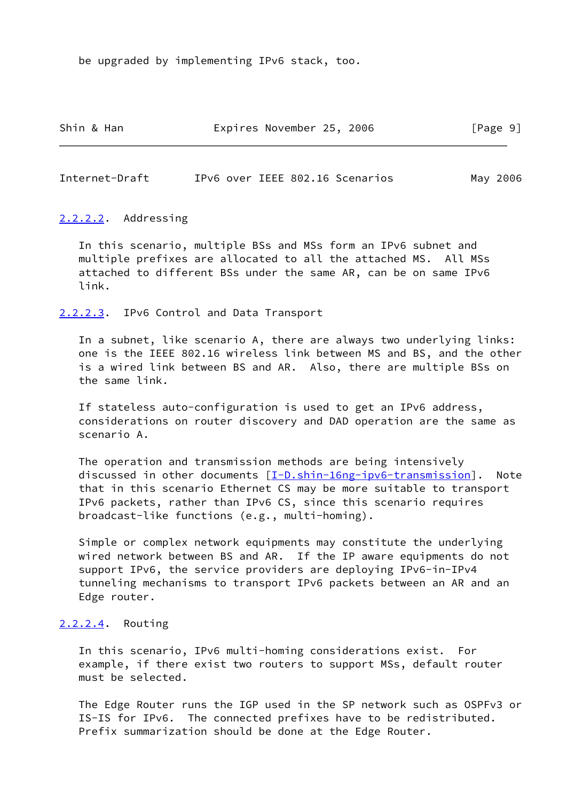be upgraded by implementing IPv6 stack, too.

| Shin & Han | Expires November 25, 2006 |  | [Page 9] |
|------------|---------------------------|--|----------|
|------------|---------------------------|--|----------|

<span id="page-10-0"></span>Internet-Draft IPv6 over IEEE 802.16 Scenarios May 2006

#### <span id="page-10-1"></span>[2.2.2.2](#page-10-1). Addressing

 In this scenario, multiple BSs and MSs form an IPv6 subnet and multiple prefixes are allocated to all the attached MS. All MSs attached to different BSs under the same AR, can be on same IPv6 link.

<span id="page-10-2"></span>[2.2.2.3](#page-10-2). IPv6 Control and Data Transport

 In a subnet, like scenario A, there are always two underlying links: one is the IEEE 802.16 wireless link between MS and BS, and the other is a wired link between BS and AR. Also, there are multiple BSs on the same link.

 If stateless auto-configuration is used to get an IPv6 address, considerations on router discovery and DAD operation are the same as scenario A.

 The operation and transmission methods are being intensively discussed in other documents [\[I-D.shin-16ng-ipv6-transmission](#page-21-1)]. Note that in this scenario Ethernet CS may be more suitable to transport IPv6 packets, rather than IPv6 CS, since this scenario requires broadcast-like functions (e.g., multi-homing).

 Simple or complex network equipments may constitute the underlying wired network between BS and AR. If the IP aware equipments do not support IPv6, the service providers are deploying IPv6-in-IPv4 tunneling mechanisms to transport IPv6 packets between an AR and an Edge router.

## <span id="page-10-3"></span>[2.2.2.4](#page-10-3). Routing

 In this scenario, IPv6 multi-homing considerations exist. For example, if there exist two routers to support MSs, default router must be selected.

 The Edge Router runs the IGP used in the SP network such as OSPFv3 or IS-IS for IPv6. The connected prefixes have to be redistributed. Prefix summarization should be done at the Edge Router.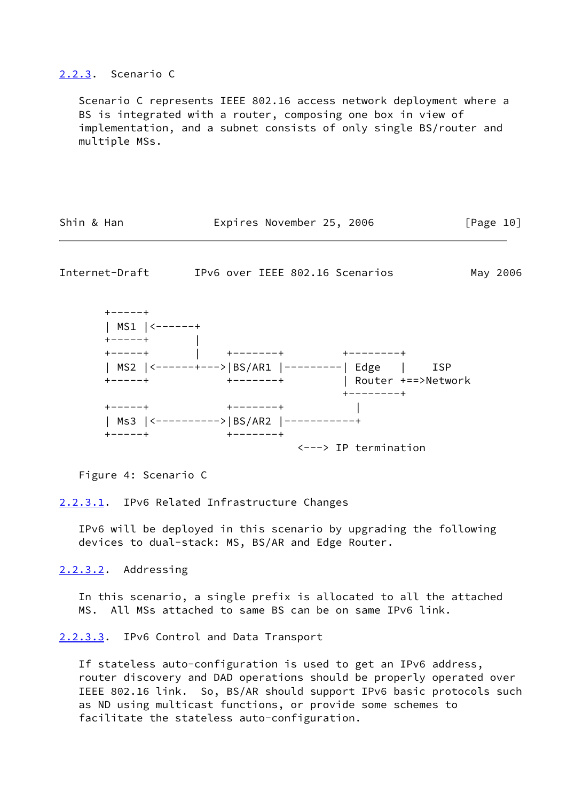#### <span id="page-11-0"></span>[2.2.3](#page-11-0). Scenario C

 Scenario C represents IEEE 802.16 access network deployment where a BS is integrated with a router, composing one box in view of implementation, and a subnet consists of only single BS/router and multiple MSs.

| Shin & Han | Expires November 25, 2006 |  | [Page 10] |
|------------|---------------------------|--|-----------|
|------------|---------------------------|--|-----------|

Internet-Draft IPv6 over IEEE 802.16 Scenarios May 2006



Figure 4: Scenario C

#### <span id="page-11-1"></span>[2.2.3.1](#page-11-1). IPv6 Related Infrastructure Changes

 IPv6 will be deployed in this scenario by upgrading the following devices to dual-stack: MS, BS/AR and Edge Router.

## <span id="page-11-2"></span>[2.2.3.2](#page-11-2). Addressing

 In this scenario, a single prefix is allocated to all the attached MS. All MSs attached to same BS can be on same IPv6 link.

#### <span id="page-11-3"></span>[2.2.3.3](#page-11-3). IPv6 Control and Data Transport

 If stateless auto-configuration is used to get an IPv6 address, router discovery and DAD operations should be properly operated over IEEE 802.16 link. So, BS/AR should support IPv6 basic protocols such as ND using multicast functions, or provide some schemes to facilitate the stateless auto-configuration.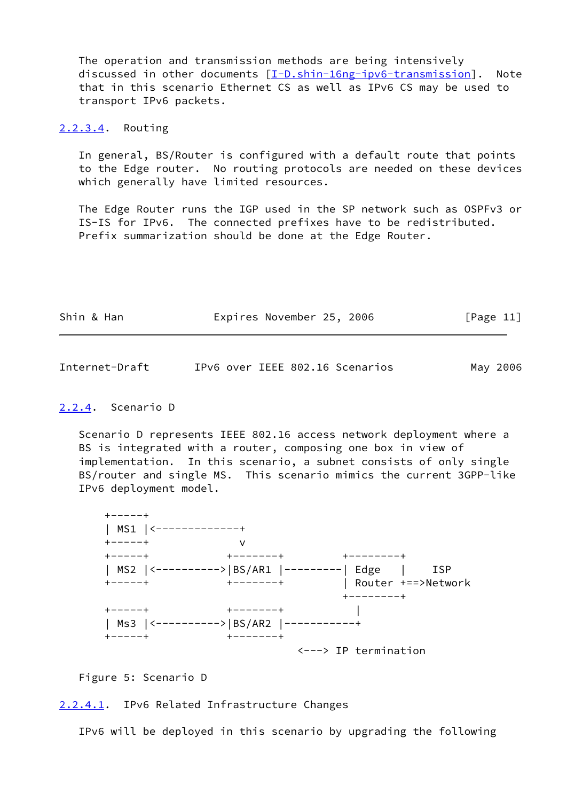The operation and transmission methods are being intensively discussed in other documents [\[I-D.shin-16ng-ipv6-transmission](#page-21-1)]. Note that in this scenario Ethernet CS as well as IPv6 CS may be used to transport IPv6 packets.

<span id="page-12-2"></span>[2.2.3.4](#page-12-2). Routing

 In general, BS/Router is configured with a default route that points to the Edge router. No routing protocols are needed on these devices which generally have limited resources.

 The Edge Router runs the IGP used in the SP network such as OSPFv3 or IS-IS for IPv6. The connected prefixes have to be redistributed. Prefix summarization should be done at the Edge Router.

| Shin & Han | Expires November 25, 2006 | [Page 11] |
|------------|---------------------------|-----------|
|            |                           |           |

<span id="page-12-1"></span>

| Internet-Draft |  | IPv6 over IEEE 802.16 Scenarios |  |  | May 2006 |
|----------------|--|---------------------------------|--|--|----------|
|----------------|--|---------------------------------|--|--|----------|

## <span id="page-12-0"></span>[2.2.4](#page-12-0). Scenario D

 Scenario D represents IEEE 802.16 access network deployment where a BS is integrated with a router, composing one box in view of implementation. In this scenario, a subnet consists of only single BS/router and single MS. This scenario mimics the current 3GPP-like IPv6 deployment model.



Figure 5: Scenario D

<span id="page-12-3"></span>[2.2.4.1](#page-12-3). IPv6 Related Infrastructure Changes

IPv6 will be deployed in this scenario by upgrading the following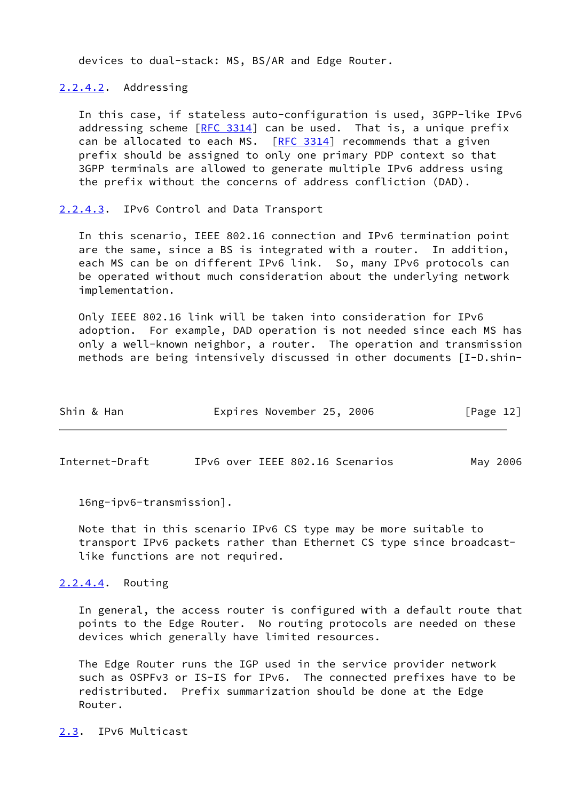devices to dual-stack: MS, BS/AR and Edge Router.

<span id="page-13-2"></span>[2.2.4.2](#page-13-2). Addressing

 In this case, if stateless auto-configuration is used, 3GPP-like IPv6 addressing scheme  $[RFC 3314]$  $[RFC 3314]$  can be used. That is, a unique prefix can be allocated to each MS.  $[RFC 3314]$  $[RFC 3314]$  recommends that a given prefix should be assigned to only one primary PDP context so that 3GPP terminals are allowed to generate multiple IPv6 address using the prefix without the concerns of address confliction (DAD).

<span id="page-13-3"></span>[2.2.4.3](#page-13-3). IPv6 Control and Data Transport

 In this scenario, IEEE 802.16 connection and IPv6 termination point are the same, since a BS is integrated with a router. In addition, each MS can be on different IPv6 link. So, many IPv6 protocols can be operated without much consideration about the underlying network implementation.

 Only IEEE 802.16 link will be taken into consideration for IPv6 adoption. For example, DAD operation is not needed since each MS has only a well-known neighbor, a router. The operation and transmission methods are being intensively discussed in other documents [I-D.shin-

| Shin & Han | Expires November 25, 2006 |  | [Page 12] |  |
|------------|---------------------------|--|-----------|--|
|            |                           |  |           |  |

<span id="page-13-1"></span>Internet-Draft IPv6 over IEEE 802.16 Scenarios May 2006

16ng-ipv6-transmission].

 Note that in this scenario IPv6 CS type may be more suitable to transport IPv6 packets rather than Ethernet CS type since broadcast like functions are not required.

<span id="page-13-4"></span>[2.2.4.4](#page-13-4). Routing

 In general, the access router is configured with a default route that points to the Edge Router. No routing protocols are needed on these devices which generally have limited resources.

 The Edge Router runs the IGP used in the service provider network such as OSPFv3 or IS-IS for IPv6. The connected prefixes have to be redistributed. Prefix summarization should be done at the Edge Router.

<span id="page-13-0"></span>[2.3](#page-13-0). IPv6 Multicast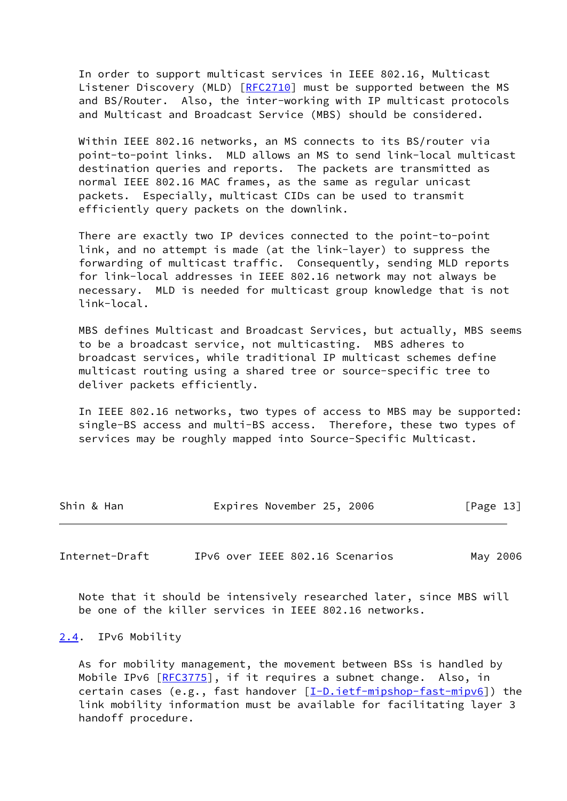In order to support multicast services in IEEE 802.16, Multicast Listener Discovery (MLD) [\[RFC2710](https://datatracker.ietf.org/doc/pdf/rfc2710)] must be supported between the MS and BS/Router. Also, the inter-working with IP multicast protocols and Multicast and Broadcast Service (MBS) should be considered.

 Within IEEE 802.16 networks, an MS connects to its BS/router via point-to-point links. MLD allows an MS to send link-local multicast destination queries and reports. The packets are transmitted as normal IEEE 802.16 MAC frames, as the same as regular unicast packets. Especially, multicast CIDs can be used to transmit efficiently query packets on the downlink.

 There are exactly two IP devices connected to the point-to-point link, and no attempt is made (at the link-layer) to suppress the forwarding of multicast traffic. Consequently, sending MLD reports for link-local addresses in IEEE 802.16 network may not always be necessary. MLD is needed for multicast group knowledge that is not link-local.

 MBS defines Multicast and Broadcast Services, but actually, MBS seems to be a broadcast service, not multicasting. MBS adheres to broadcast services, while traditional IP multicast schemes define multicast routing using a shared tree or source-specific tree to deliver packets efficiently.

 In IEEE 802.16 networks, two types of access to MBS may be supported: single-BS access and multi-BS access. Therefore, these two types of services may be roughly mapped into Source-Specific Multicast.

| Shin & Han |  | Expires November 25, 2006 |  |  | [Page 13] |
|------------|--|---------------------------|--|--|-----------|
|------------|--|---------------------------|--|--|-----------|

<span id="page-14-1"></span>Internet-Draft IPv6 over IEEE 802.16 Scenarios May 2006

 Note that it should be intensively researched later, since MBS will be one of the killer services in IEEE 802.16 networks.

#### <span id="page-14-0"></span>[2.4](#page-14-0). IPv6 Mobility

 As for mobility management, the movement between BSs is handled by Mobile IPv6 [\[RFC3775](https://datatracker.ietf.org/doc/pdf/rfc3775)], if it requires a subnet change. Also, in certain cases (e.g., fast handover  $[\underline{I-D.ietf-mipshop-fast-mipv6}]$ ) the link mobility information must be available for facilitating layer 3 handoff procedure.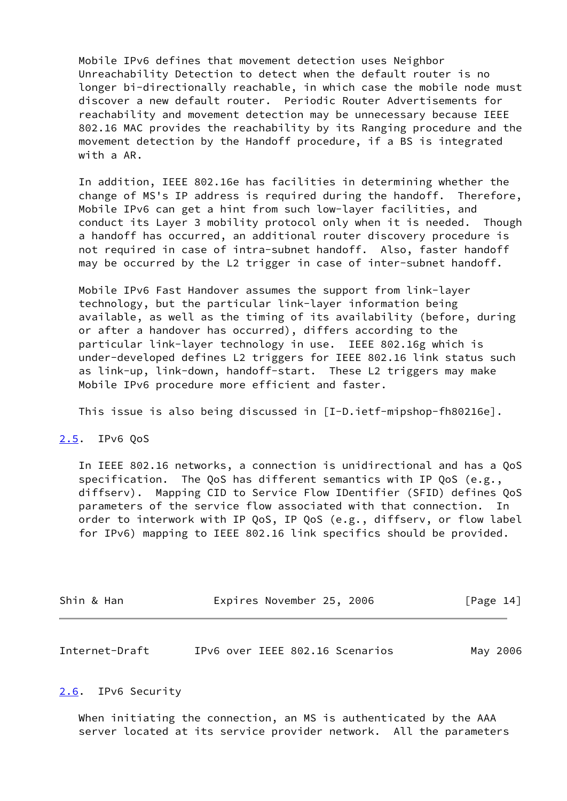Mobile IPv6 defines that movement detection uses Neighbor Unreachability Detection to detect when the default router is no longer bi-directionally reachable, in which case the mobile node must discover a new default router. Periodic Router Advertisements for reachability and movement detection may be unnecessary because IEEE 802.16 MAC provides the reachability by its Ranging procedure and the movement detection by the Handoff procedure, if a BS is integrated with a AR.

 In addition, IEEE 802.16e has facilities in determining whether the change of MS's IP address is required during the handoff. Therefore, Mobile IPv6 can get a hint from such low-layer facilities, and conduct its Layer 3 mobility protocol only when it is needed. Though a handoff has occurred, an additional router discovery procedure is not required in case of intra-subnet handoff. Also, faster handoff may be occurred by the L2 trigger in case of inter-subnet handoff.

 Mobile IPv6 Fast Handover assumes the support from link-layer technology, but the particular link-layer information being available, as well as the timing of its availability (before, during or after a handover has occurred), differs according to the particular link-layer technology in use. IEEE 802.16g which is under-developed defines L2 triggers for IEEE 802.16 link status such as link-up, link-down, handoff-start. These L2 triggers may make Mobile IPv6 procedure more efficient and faster.

This issue is also being discussed in [I-D.ietf-mipshop-fh80216e].

## <span id="page-15-0"></span>[2.5](#page-15-0). IPv6 QoS

 In IEEE 802.16 networks, a connection is unidirectional and has a QoS specification. The QoS has different semantics with IP QoS (e.g., diffserv). Mapping CID to Service Flow IDentifier (SFID) defines QoS parameters of the service flow associated with that connection. In order to interwork with IP QoS, IP QoS (e.g., diffserv, or flow label for IPv6) mapping to IEEE 802.16 link specifics should be provided.

| Shin & Han | Expires November 25, 2006 |  | [Page 14] |
|------------|---------------------------|--|-----------|
|------------|---------------------------|--|-----------|

<span id="page-15-2"></span>Internet-Draft IPv6 over IEEE 802.16 Scenarios May 2006

#### <span id="page-15-1"></span>[2.6](#page-15-1). IPv6 Security

 When initiating the connection, an MS is authenticated by the AAA server located at its service provider network. All the parameters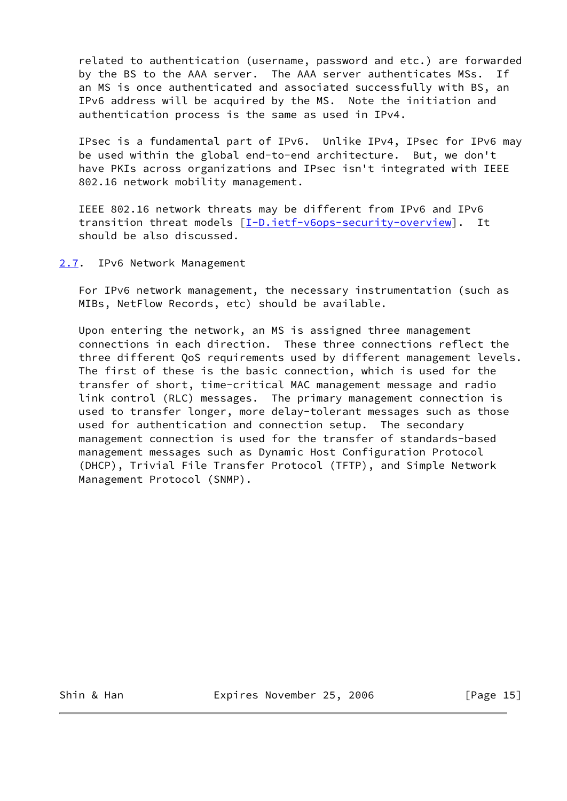related to authentication (username, password and etc.) are forwarded by the BS to the AAA server. The AAA server authenticates MSs. If an MS is once authenticated and associated successfully with BS, an IPv6 address will be acquired by the MS. Note the initiation and authentication process is the same as used in IPv4.

 IPsec is a fundamental part of IPv6. Unlike IPv4, IPsec for IPv6 may be used within the global end-to-end architecture. But, we don't have PKIs across organizations and IPsec isn't integrated with IEEE 802.16 network mobility management.

 IEEE 802.16 network threats may be different from IPv6 and IPv6 transition threat models [\[I-D.ietf-v6ops-security-overview](#page-21-3)]. It should be also discussed.

<span id="page-16-0"></span>[2.7](#page-16-0). IPv6 Network Management

 For IPv6 network management, the necessary instrumentation (such as MIBs, NetFlow Records, etc) should be available.

 Upon entering the network, an MS is assigned three management connections in each direction. These three connections reflect the three different QoS requirements used by different management levels. The first of these is the basic connection, which is used for the transfer of short, time-critical MAC management message and radio link control (RLC) messages. The primary management connection is used to transfer longer, more delay-tolerant messages such as those used for authentication and connection setup. The secondary management connection is used for the transfer of standards-based management messages such as Dynamic Host Configuration Protocol (DHCP), Trivial File Transfer Protocol (TFTP), and Simple Network Management Protocol (SNMP).

Shin & Han **Expires November 25, 2006** [Page 15]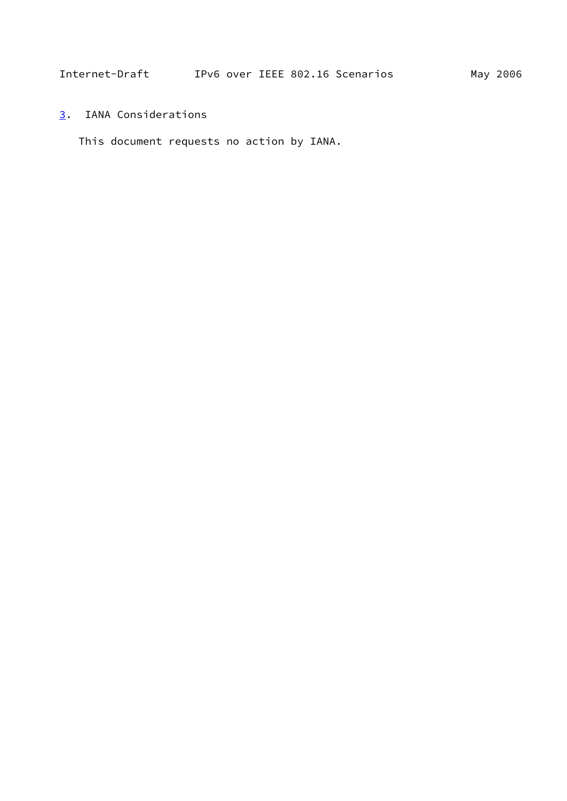<span id="page-17-1"></span><span id="page-17-0"></span>[3](#page-17-0). IANA Considerations

This document requests no action by IANA.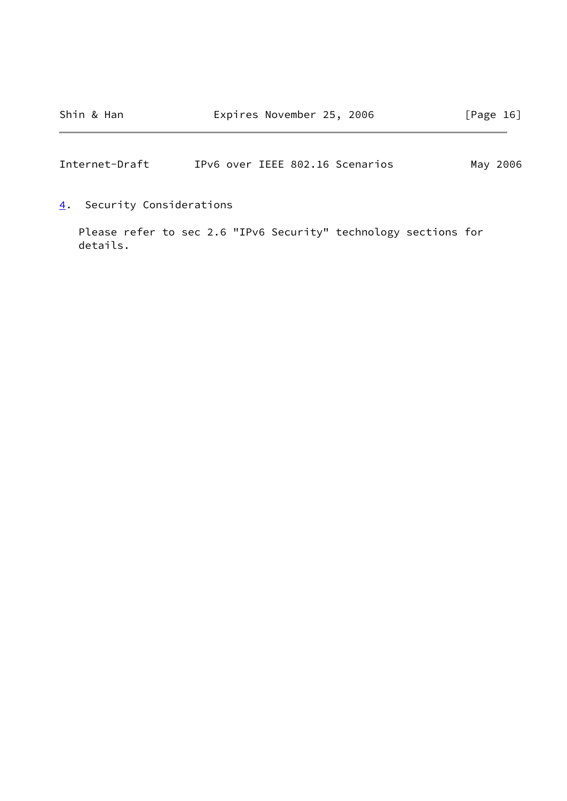<span id="page-18-1"></span>Internet-Draft IPv6 over IEEE 802.16 Scenarios May 2006

<span id="page-18-0"></span>[4](#page-18-0). Security Considerations

 Please refer to sec 2.6 "IPv6 Security" technology sections for details.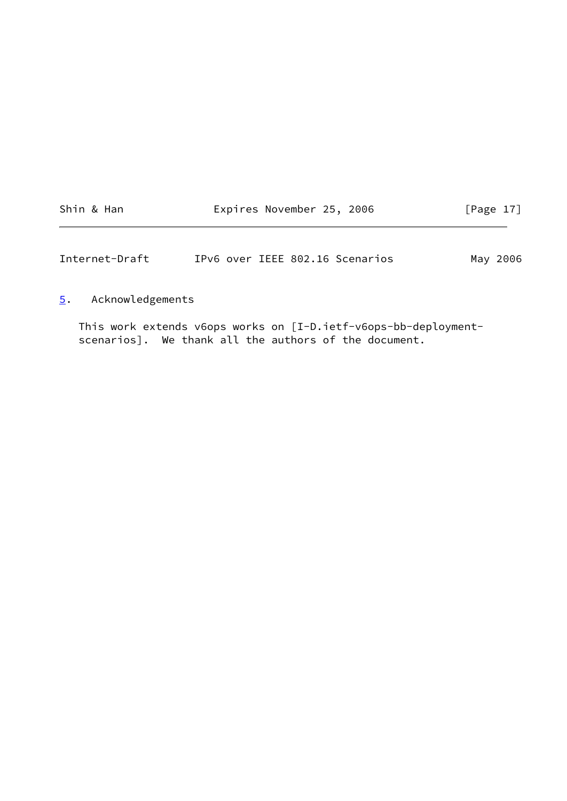|  |  | Shin & Han |
|--|--|------------|
|  |  |            |

Expires November 25, 2006 [Page 17]

<span id="page-19-1"></span>Internet-Draft IPv6 over IEEE 802.16 Scenarios May 2006

# <span id="page-19-0"></span>[5](#page-19-0). Acknowledgements

 This work extends v6ops works on [I-D.ietf-v6ops-bb-deployment scenarios]. We thank all the authors of the document.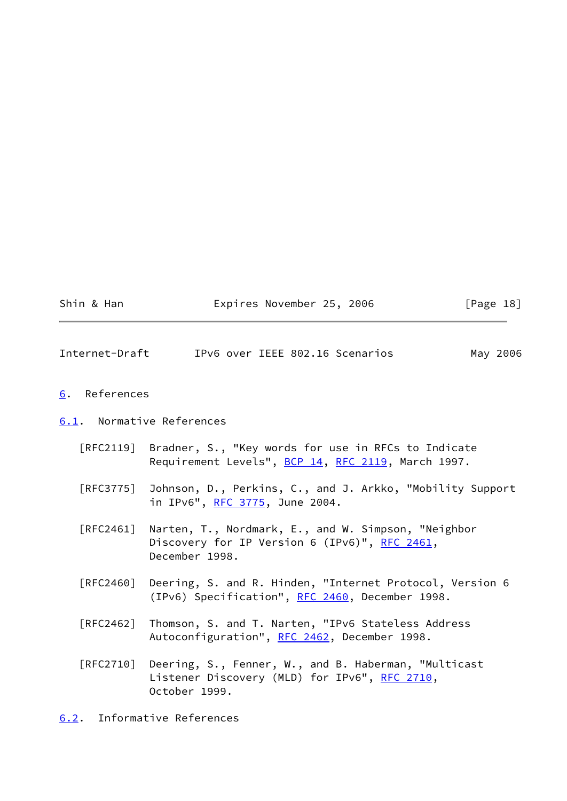<span id="page-20-3"></span><span id="page-20-2"></span><span id="page-20-1"></span><span id="page-20-0"></span>

| Internet-Draft                   | IPv6 over IEEE 802.16 Scenarios<br>May 2006                                                                                      |
|----------------------------------|----------------------------------------------------------------------------------------------------------------------------------|
| References<br>6.                 |                                                                                                                                  |
| 6.1. Normative References        |                                                                                                                                  |
|                                  | [RFC2119] Bradner, S., "Key words for use in RFCs to Indicate<br>Requirement Levels", BCP 14, RFC 2119, March 1997.              |
|                                  | [RFC3775] Johnson, D., Perkins, C., and J. Arkko, "Mobility Support<br>in IPv6", RFC 3775, June 2004.                            |
| $\lceil \mathsf{RFC2461} \rceil$ | Narten, T., Nordmark, E., and W. Simpson, "Neighbor<br>Discovery for IP Version 6 (IPv6)", RFC 2461,<br>December 1998.           |
| [RFC2460]                        | Deering, S. and R. Hinden, "Internet Protocol, Version 6<br>(IPv6) Specification", RFC 2460, December 1998.                      |
| $\lceil \mathsf{RFC2462} \rceil$ | Thomson, S. and T. Narten, "IPv6 Stateless Address<br>Autoconfiguration", RFC 2462, December 1998.                               |
|                                  | [RFC2710] Deering, S., Fenner, W., and B. Haberman, "Multicast<br>Listener Discovery (MLD) for IPv6", RFC 2710,<br>October 1999. |
| 6.2.                             | Informative References                                                                                                           |

Shin & Han **Expires November 25, 2006** [Page 18]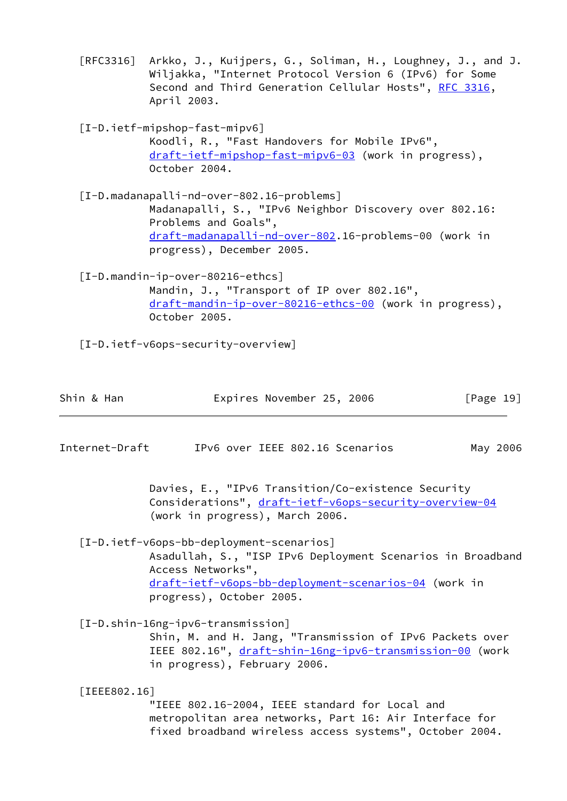[RFC3316] Arkko, J., Kuijpers, G., Soliman, H., Loughney, J., and J. Wiljakka, "Internet Protocol Version 6 (IPv6) for Some Second and Third Generation Cellular Hosts", [RFC 3316](https://datatracker.ietf.org/doc/pdf/rfc3316), April 2003.

<span id="page-21-2"></span> [I-D.ietf-mipshop-fast-mipv6] Koodli, R., "Fast Handovers for Mobile IPv6", [draft-ietf-mipshop-fast-mipv6-03](https://datatracker.ietf.org/doc/pdf/draft-ietf-mipshop-fast-mipv6-03) (work in progress), October 2004.

 [I-D.madanapalli-nd-over-802.16-problems] Madanapalli, S., "IPv6 Neighbor Discovery over 802.16: Problems and Goals", [draft-madanapalli-nd-over-802.](https://datatracker.ietf.org/doc/pdf/draft-madanapalli-nd-over-802)16-problems-00 (work in progress), December 2005.

 [I-D.mandin-ip-over-80216-ethcs] Mandin, J., "Transport of IP over 802.16", [draft-mandin-ip-over-80216-ethcs-00](https://datatracker.ietf.org/doc/pdf/draft-mandin-ip-over-80216-ethcs-00) (work in progress), October 2005.

<span id="page-21-3"></span>[I-D.ietf-v6ops-security-overview]

| Shin & Han | Expires November 25, 2006 |  |  | [Page 19] |  |
|------------|---------------------------|--|--|-----------|--|
|------------|---------------------------|--|--|-----------|--|

Internet-Draft IPv6 over IEEE 802.16 Scenarios May 2006

 Davies, E., "IPv6 Transition/Co-existence Security Considerations", [draft-ietf-v6ops-security-overview-04](https://datatracker.ietf.org/doc/pdf/draft-ietf-v6ops-security-overview-04) (work in progress), March 2006.

 [I-D.ietf-v6ops-bb-deployment-scenarios] Asadullah, S., "ISP IPv6 Deployment Scenarios in Broadband Access Networks", [draft-ietf-v6ops-bb-deployment-scenarios-04](https://datatracker.ietf.org/doc/pdf/draft-ietf-v6ops-bb-deployment-scenarios-04) (work in progress), October 2005.

<span id="page-21-1"></span> [I-D.shin-16ng-ipv6-transmission] Shin, M. and H. Jang, "Transmission of IPv6 Packets over IEEE 802.16", [draft-shin-16ng-ipv6-transmission-00](https://datatracker.ietf.org/doc/pdf/draft-shin-16ng-ipv6-transmission-00) (work in progress), February 2006.

<span id="page-21-0"></span> [IEEE802.16] "IEEE 802.16-2004, IEEE standard for Local and metropolitan area networks, Part 16: Air Interface for fixed broadband wireless access systems", October 2004.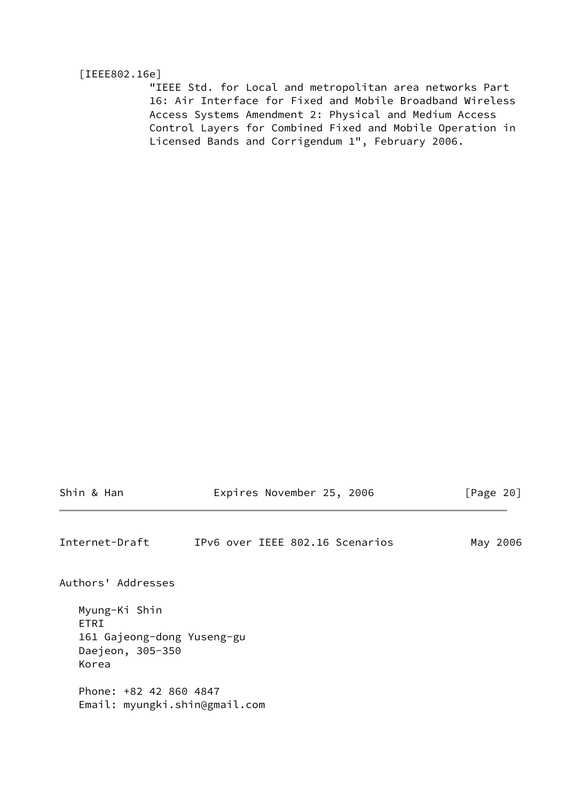#### <span id="page-22-1"></span>[IEEE802.16e]

 "IEEE Std. for Local and metropolitan area networks Part 16: Air Interface for Fixed and Mobile Broadband Wireless Access Systems Amendment 2: Physical and Medium Access Control Layers for Combined Fixed and Mobile Operation in Licensed Bands and Corrigendum 1", February 2006.

|  |  |  |  | Shin & Han |
|--|--|--|--|------------|
|--|--|--|--|------------|

Expires November 25, 2006 [Page 20]

<span id="page-22-0"></span>Internet-Draft IPv6 over IEEE 802.16 Scenarios May 2006

Authors' Addresses

 Myung-Ki Shin ETRI 161 Gajeong-dong Yuseng-gu Daejeon, 305-350 Korea

 Phone: +82 42 860 4847 Email: myungki.shin@gmail.com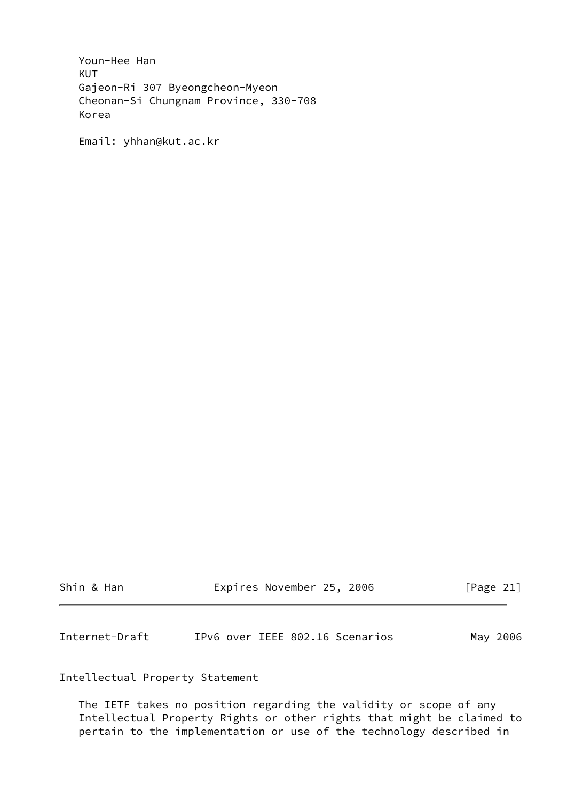Youn-Hee Han KUT Gajeon-Ri 307 Byeongcheon-Myeon Cheonan-Si Chungnam Province, 330-708 Korea

Email: yhhan@kut.ac.kr

| Shin & Han | Expires November 25, 2006 | [Page 21] |
|------------|---------------------------|-----------|
|------------|---------------------------|-----------|

<span id="page-23-0"></span>Internet-Draft IPv6 over IEEE 802.16 Scenarios May 2006

Intellectual Property Statement

 The IETF takes no position regarding the validity or scope of any Intellectual Property Rights or other rights that might be claimed to pertain to the implementation or use of the technology described in